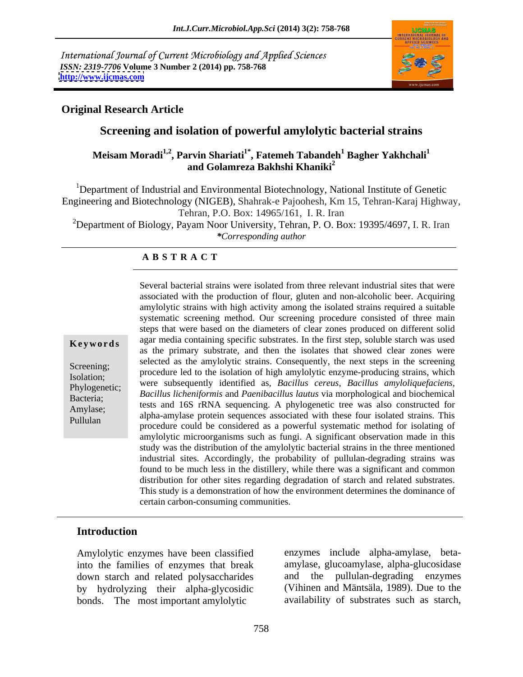International Journal of Current Microbiology and Applied Sciences *ISSN: 2319-7706* **Volume 3 Number 2 (2014) pp. 758-768 <http://www.ijcmas.com>**



# **Original Research Article**

# **Screening and isolation of powerful amylolytic bacterial strains**

# **Meisam Moradi<sup>1,2</sup>, Parvin Shariati<sup>1\*</sup>, Fatemeh Tabandeh<sup>1</sup> Bagher Yakhchali<sup>1</sup> and Golamreza Bakhshi Khaniki<sup>2</sup>**

<sup>1</sup>Department of Industrial and Environmental Biotechnology, National Institute of Genetic Engineering and Biotechnology (NIGEB), Shahrak-e Pajoohesh, Km 15, Tehran-Karaj Highway, Tehran, P.O. Box: 14965/161, I. R. Iran 2Department of Biology, Payam Noor University, Tehran, P. O. Box: 19395/4697, I. R. Iran

*\*Corresponding author* 

### **A B S T R A C T**

**Keywords** agar media containing specific substrates. In the first step, soluble starch was used Screening;<br>
procedure led to the isolation of high amylolytic enzyme-producing strains, which Isolation; were subsequently identified as*, Bacillus cereus, Bacillus amyloliquefaciens,* Phylogenetic; *Bacillus licheniformis* and *Paenibacillus lautus* via morphological and biochemical Bacteria;<br>A myless: tests and 16S rRNA sequencing. A phylogenetic tree was also constructed for Amylase;<br>alpha-amylase protein sequences associated with these four isolated strains. This Pullulan procedure could be considered as a powerful systematic method for isolating of Several bacterial strains were isolated from three relevant industrial sites that were associated with the production of flour, gluten and non-alcoholic beer. Acquiring amylolytic strains with high activity among the isolated strains required a suitable systematic screening method. Our screening procedure consisted of three main steps that were based on the diameters of clear zones produced on different solid as the primary substrate, and then the isolates that showed clear zones were selected as the amylolytic strains. Consequently, the next steps in the screening amylolytic microorganisms such as fungi. A significant observation made in this study was the distribution of the amylolytic bacterial strains in the three mentioned industrial sites. Accordingly, the probability of pullulan-degrading strains was found to be much less in the distillery, while there was a significant and common distribution for other sites regarding degradation of starch and related substrates. This study is a demonstration of how the environment determines the dominance of certain carbon-consuming communities.

### **Introduction**

Amylolytic enzymes have been classified into the families of enzymes that break down starch and related polysaccharides bonds. The most important amylolytic

by hydrolyzing their alpha-glycosidic (Vihinen and Mäntsäla, 1989). Due to the enzymes include alpha-amylase, beta amylase, glucoamylase, alpha-glucosidase and the pullulan-degrading enzymes availability of substrates such as starch,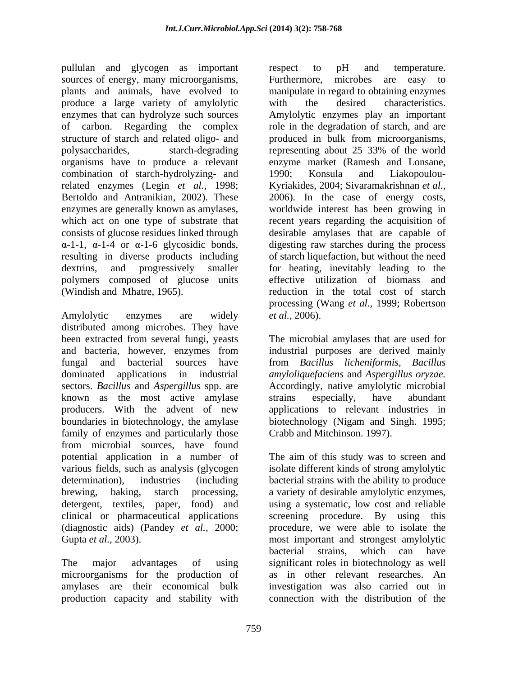pullulan and glycogen as important respect to pH and temperature. sources of energy, many microorganisms, Furthermore, microbes are easy to plants and animals, have evolved to manipulate in regard to obtaining enzymes produce a large variety of amylolytic enzymes that can hydrolyze such sources of carbon. Regarding the complex role in the degradation of starch, and are structure of starch and related oligo- and produced in bulk from microorganisms, polysaccharides, starch-degrading representing about 25–33% of the world organisms have to produce a relevant enzyme market (Ramesh and Lonsane, combination of starch-hydrolyzing- and 1990; Konsula and Liakopoulourelated enzymes (Legin *et al.,* 1998; Kyriakides, 2004; Sivaramakrishnan *et al.,* Bertoldo and Antranikian, 2002). These 2006). In the case of energy costs, enzymes are generally known as amylases, worldwide interest has been growing in which act on one type of substrate that recent years regarding the acquisition of consists of glucose residues linked through desirable amylases that are capable of  $\alpha$ -1-1,  $\alpha$ -1-4 or  $\alpha$ -1-6 glycosidic bonds, digesting raw starches during the process resulting in diverse products including of starch liquefaction, but without the need dextrins, and progressively smaller for heating, inevitably leading to the polymers composed of glucose units effective utilization of biomass and (Windish and Mhatre, 1965). reduction in the total cost of starch

Amylolytic enzymes are widely *et al.*, 2006). distributed among microbes. They have been extracted from several fungi, yeasts The microbial amylases that are used for and bacteria, however, enzymes from industrial purposes are derived mainly fungal and bacterial sources have from *Bacillus licheniformis*, *Bacillus*  dominated applications in industrial *amyloliquefaciens* and *Aspergillus oryzae.* sectors. *Bacillus* and *Aspergillus* spp. are known as the most active amylase strains especially, have abundant producers. With the advent of new applications to relevant industries in boundaries in biotechnology, the amylase biotechnology (Nigam and Singh. 1995; family of enzymes and particularly those from microbial sources, have found potential application in a number of The aim of this study was to screen and various fields, such as analysis (glycogen determination), industries (including bacterial strains with the ability to produce brewing, baking, starch processing, a variety of desirable amylolytic enzymes, detergent, textiles, paper, food) and using a systematic, low cost and reliable clinical or pharmaceutical applications screening procedure. By using this (diagnostic aids) (Pandey *et al.,* 2000; procedure, we were able to isolate the Gupta *et al.*, 2003). The most important and strongest amylolytic

amylases are their economical bulk production capacity and stability with

respect to pH and temperature. Furthermore, microbes are easy to with the desired characteristics. Amylolytic enzymes play an important 1990; Konsula and Liakopoulou desirable amylases that are capable of digesting raw starches during the process processing (Wang *et al.,* 1999; Robertson *et al.,* 2006).

Accordingly, native amylolytic microbial strains especially, have abundant Crabb and Mitchinson. 1997).

The major advantages of using significant roles in biotechnology as well microorganisms for the production of as in other relevant researches. An isolate different kinds of strong amylolytic bacterial strains, which can have investigation was also carried out in connection with the distribution of the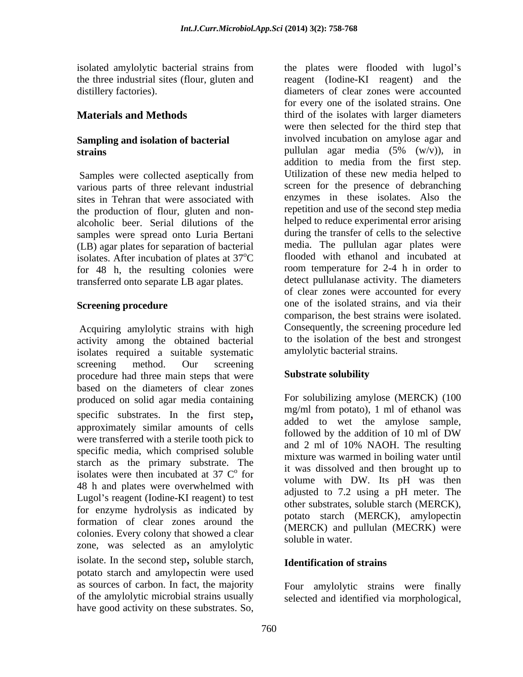isolated amylolytic bacterial strains from the plates were flooded with lugol's

# **Sampling and isolation of bacterial**

Samples were collected aseptically from various parts of three relevant industrial the production of flour, gluten and non alcoholic beer. Serial dilutions of the samples were spread onto Luria Bertani (LB) agar plates for separation of bacterial isolates. After incubation of plates at  $37^{\circ}$ C for 48 h, the resulting colonies were transferred onto separate LB agar plates.

Acquiring amylolytic strains with high activity among the obtained bacterial isolates required a suitable systematic screening method. Our screening procedure had three main steps that were **Substrate solubility** based on the diameters of clear zones produced on solid agar media containing specific substrates. In the first step,<br>approximately similar amounts of cells  $\frac{mg}{m}$  and to wet the amylose sample, approximately similar amounts of centriful express followed by the addition of 10 ml of DW were transferred with a sterile tooth pick to and 2 ml of 10% NAOH. The resulting specific media, which comprised soluble starch as the primary substrate. The isolates were then incubated at  $37 \, \mathrm{C}^{\circ}$  for 48 h and plates were overwhelmed with Lugol's reagent (Iodine-KI reagent) to test for enzyme hydrolysis as indicated by formation of clear zones around the colonies. Every colony that showed a clear soluble in water zone, was selected as an amylolytic isolate. In the second step, soluble starch, potato starch and amylopectin were used as sources of carbon. In fact, the majority of the amylolytic microbial strains usually selected and identified via morphological,have good activity on these substrates. So,

the three industrial sites (flour, gluten and reagent (Iodine-KI reagent) and the distillery factories). diameters of clear zones were accounted **Materials and Methods third of the isolates with larger diameters** strains strains agar media (5% (w/v)), in sites in Tehran that were associated with enzymes in these isolates. Also the  $\mathrm{^{0}C}$  flooded with ethanol and incubated at **Screening procedure** one of the isolated strains, and via their for every one of the isolated strains. One were then selected for the third step that involved incubation on amylose agar and pullulan agar media (5% (w/v)), in addition to media from the first step. Utilization of these new media helped to screen for the presence of debranching repetition and use of the second step media helped to reduce experimental error arising during the transfer of cells to the selective media. The pullulan agar plates were room temperature for 2-4 h in order to detect pullulanase activity. The diameters of clear zones were accounted for every comparison, the best strains were isolated. Consequently, the screening procedure led to the isolation of the best and strongest amylolytic bacterial strains.

# **Substrate solubility**

 $\frac{1}{10}$  it was dissolved and then brought up to for the was dissolved and then brought up to<br>volume with DW. Its pH was then For solubilizing amylose (MERCK) (100 mg/ml from potato), 1 ml of ethanol was added to wet the amylose sample, followed by the addition of 10 ml of DW and 2 ml of 10% NAOH. The resulting mixture was warmed in boiling water until adjusted to 7.2 using a pH meter. The other substrates, soluble starch (MERCK), potato starch (MERCK), amylopectin (MERCK) and pullulan (MECRK) were soluble in water.

### **Identification of strains**

Four amylolytic strains were finally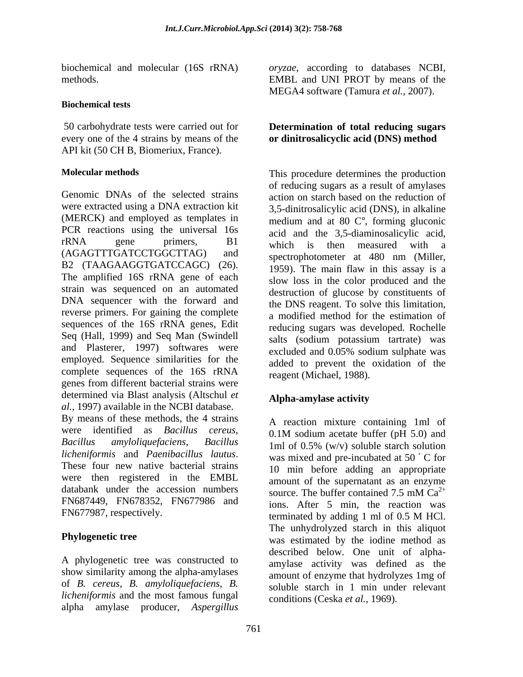### **Biochemical tests**

50 carbohydrate tests were carried out for every one of the 4 strains by means of the **or dinitrosalicyclic acid (DNS) method** API kit (50 CH B, Biomeriux, France).

Genomic DNAs of the selected strains action on starch based on the reduction of were extracted using a DNA extraction kit (MERCK) and employed as templates in PCR reactions using the universal 16s acid and the 3.5-diaminosalicylic acid,  $rRNA$  gene primers,  $B1$  which is then measured with a rkNA gene primers,  $B1$  which is then measured with a<br>(AGAGTTTGATCCTGGCTTAG) and spectrophotometer at 480 nm (Miller, B2 (TAAGAAGGTGATCCAGC) (26).  $\frac{1959}{1959}$ . The main flaw in this assay is a The amplified 16S rRNA gene of each slow loss in the color produced and the strain was sequenced on an automated DNA sequencer with the forward and reverse primers. For gaining the complete sequences of the 16S rRNA genes, Edit Seq (Hall, 1999) and Seq Man (Swindell and Plasterer, 1997) softwares were excluded and 0.05% sodium sulphate was employed. Sequence similarities for the complete sequences of the 16S rRNA genes from different bacterial strains were determined via Blast analysis (Altschul *et al.,* 1997) available in the NCBI database. By means of these methods, the 4 strains were identified as *Bacillus cereus*, 0.1M sodium acetate buffer (pH 5.0) and *Bacillus amyloliquefaciens, Bacillus* 1ml of 0.5% (w/v) soluble starch solution *licheniformis* and *Paenibacillus lautus*. These four new native bacterial strains were then registered in the EMBL databank under the accession numbers source. The buffer contained  $7.5 \text{ mM } Ca^{2+}$ FN687449, FN678352, FN677986 and FN677987, respectively. the terminated by adding 1 ml of 0.5 M HCl.

A phylogenetic tree was constructed to show similarity among the alpha-amylases of *B. cereus, B. amyloliquefaciens, B. licheniformis* and the most famous fungal alpha amylase producer, *Aspergillus* 

biochemical and molecular (16S rRNA) *oryzae*, according to databases NCBI, methods. EMBL and UNI PROT by means of the MEGA4 software (Tamura *et al.,* 2007).

# **Determination of total reducing sugars**

**Molecular methods** This procedure determines the production of reducing sugars as a result of amylases 3,5-dinitrosalicylic acid (DNS), in alkaline medium and at 80 C°, forming gluconic acid and the 3,5-diaminosalicylic acid, which is then measured with <sup>a</sup> spectrophotometer at 480 nm (Miller, 1959). The main flaw in this assay is a slow loss in the color produced and the destruction of glucose by constituents of the DNS reagent. To solve this limitation, a modified method for the estimation of reducing sugars was developed. Rochelle salts (sodium potassium tartrate) was excluded and 0.05% sodium sulphate was added to prevent the oxidation of the reagent (Michael, 1988).

# **Alpha-amylase activity**

**Phylogenetic tree** was estimated by the iodine method as A reaction mixture containing 1ml of 0.1M sodium acetate buffer (pH 5.0) and was mixed and pre-incubated at  $50^{\degree}$  C for 10 min before adding an appropriate amount of the supernatant as an enzyme source. The buffer contained 7.5 mM  $Ca^{2+}$  $2+$ ions. After 5 min, the reaction was terminated by adding 1 ml of 0.5 M HCl. The unhydrolyzed starch in this aliquot described below. One unit of alpha amylase activity was defined as the amount of enzyme that hydrolyzes 1mg of soluble starch in 1 min under relevant conditions (Ceska *et al.,* 1969).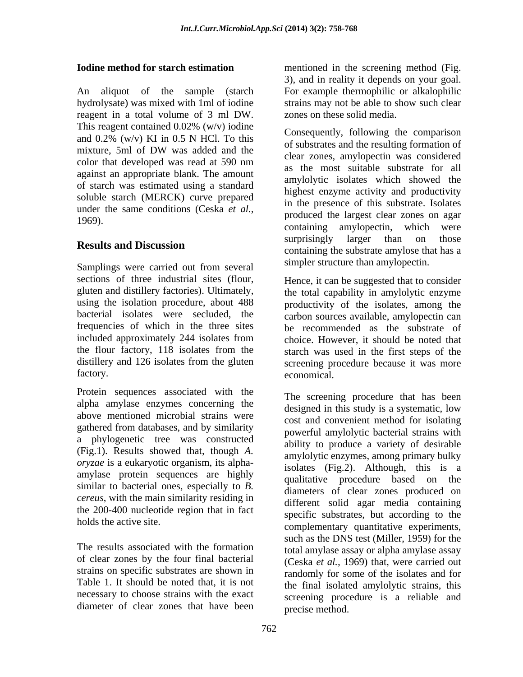An aliquot of the sample (starch For example thermophilic or alkalophilic hydrolysate) was mixed with 1ml of iodine reagent in a total volume of 3 ml DW. zones on these solid media.<br>This reagent contained  $0.02\%$  (w/v) iodine against an appropriate blank. The amount of starch was estimated using a standard soluble starch (MERCK) curve prepared under the same conditions (Ceska *et al.,*

Samplings were carried out from several sections of three industrial sites (flour, Hence, it can be suggested that to consider frequencies of which in the three sites included approximately 244 isolates from the flour factory, 118 isolates from the distillery and 126 isolates from the gluten

Protein sequences associated with the alpha amylase enzymes concerning the above mentioned microbial strains were gathered from databases, and by similarity a phylogenetic tree was constructed amylase protein sequences are highly similar to bacterial ones, especially to *B. cereus*, with the main similarity residing in the 200-400 nucleotide region that in fact

of clear zones by the four final bacterial Table 1. It should be noted that, it is not necessary to choose strains with the exact diameter of clear zones that have been

**Iodine method for starch estimation** mentioned in the screening method (Fig. 3), and in reality it depends on your goal. strains may not be able to show such clear zones on these solid media.

and  $0.2\%$  (w/v) KI in 0.5 N HCl. To this consequently, following the comparison mixture, 5ml of DW was added and the original and the resulting formation of color that developed was read at  $590 \text{ nm}$  are the meet suitable substants for all 1969).<br>
containing amylopectin, which were **Results and Discussion**<br>
containing the substrate amylose that has a Consequently, following the comparison of substrates and the resulting formation of clear zones, amylopectin was considered as the most suitable substrate for all amylolytic isolates which showed the highest enzyme activity and productivity in the presence of this substrate. Isolates produced the largest clear zones on agar surprisingly larger than on those simpler structure than amylopectin.

gluten and distillery factories). Ultimately, the total capability in amylolytic enzyme using the isolation procedure, about 488 productivity of the isolates, among the bacterial isolates were secluded, the carbon sources available, amylopectin can factory. economical. be recommended as the substrate of choice. However, it should be noted that starch was used in the first steps of the screening procedure because it was more economical.

(Fig.1). Results showed that, though *A*.<br>*oryzae* is a eukaryotic organism, its alpha-<br>isolates (Fig.2) Although this is a holds the active site.<br>
complementary quantitative experiments, The results associated with the formation total amylase assay or alpha amylase assay strains on specific substrates are shown in a randomly for some of the isolates and for The screening procedure that has been designed in this study is a systematic, low cost and convenient method for isolating powerful amylolytic bacterial strains with ability to produce a variety of desirable amylolytic enzymes, among primary bulky isolates (Fig.2). Although, this is a qualitative procedure based on the diameters of clear zones produced on different solid agar media containing specific substrates, but according to the such as the DNS test (Miller, 1959) for the (Ceska *et al.,* 1969) that, were carried out the final isolated amylolytic strains, this screening procedure is a reliable and precise method.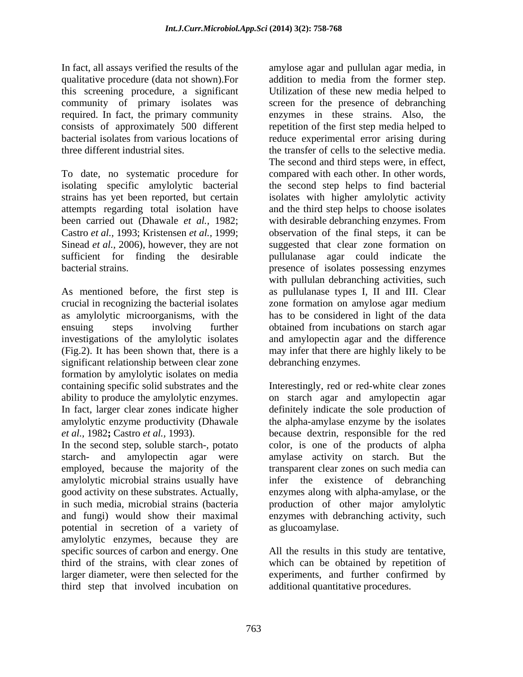qualitative procedure (data not shown).For this screening procedure, a significant required. In fact, the primary community

(Fig.2). It has been shown that, there is a significant relationship between clear zone formation by amylolytic isolates on media

potential in secretion of a variety of amylolytic enzymes, because they are specific sources of carbon and energy. One All the results in this study are tentative, third of the strains, with clear zones of which can be obtained by repetition of larger diameter, were then selected for the experiments, and further confirmed by third step that involved incubation on

In fact, all assays verified the results of the amylose agar and pullulan agar media, in community of primary isolates was screen for the presence of debranching consists of approximately 500 different repetition of the first step media helped to bacterial isolates from various locations of reduce experimental error arising during three different industrial sites. the transfer of cells to the selective media. To date, no systematic procedure for compared with each other. In other words, isolating specific amylolytic bacterial the second step helps to find bacterial strains has yet been reported, but certain isolates with higher amylolytic activity attempts regarding total isolation have and the third step helps to choose isolates been carried out (Dhawale *et al.,* 1982; with desirable debranching enzymes. From Castro *et al.,* 1993; Kristensen *et al.,* 1999; observation of the final steps, it can be Sinead *et al.,* 2006), however, they are not suggested that clear zone formation on sufficient for finding the desirable pullulanase agar could indicate the bacterial strains. presence of isolates possessing enzymes As mentioned before, the first step is as pullulanase types I, II and III. Clear crucial in recognizing the bacterial isolates zone formation on amylose agar medium as amylolytic microorganisms, with the has to be considered in light of the data ensuing steps involving further obtained from incubations on starch agar investigations of the amylolytic isolates and amylopectin agar and the difference addition to media from the former step. Utilization of these new media helped to enzymes in these strains. Also, the The second and third steps were, in effect, with pullulan debranching activities, such may infer that there are highly likely to be debranching enzymes.

containing specific solid substrates and the Interestingly, red or red-white clear zones ability to produce the amylolytic enzymes. on starch agar and amylopectin agar In fact, larger clear zones indicate higher definitely indicate the sole production of amylolytic enzyme productivity (Dhawale the alpha-amylase enzyme by the isolates *et al.,* 1982**;** Castro *et al.,* 1993). because dextrin, responsible for the red In the second step, soluble starch-, potato color, is one of the products of alpha starch- and amylopectin agar were amylase activity on starch. But the employed, because the majority of the transparent clear zones on such media can amylolytic microbial strains usually have infer the existence of debranching good activity on these substrates. Actually, enzymes along with alpha-amylase, or the in such media, microbial strains (bacteria production of other major amylolytic and fungi) would show their maximal enzymes with debranching activity, such as glucoamylase.

additional quantitative procedures.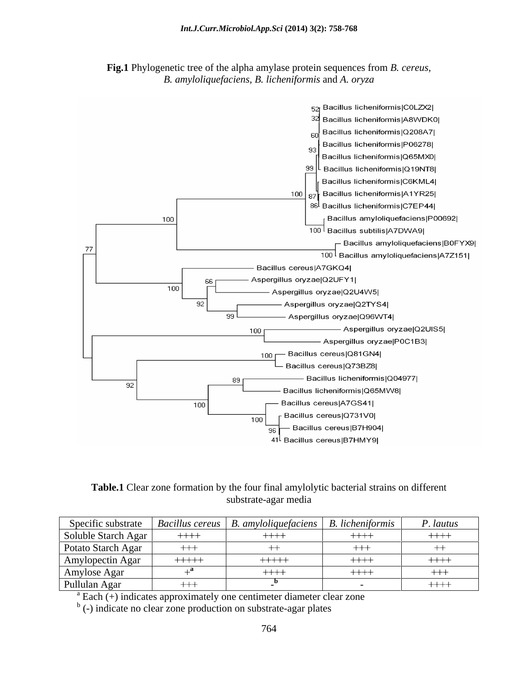



**Table.1** Clear zone formation by the four final amylolytic bacterial strains on different substrate-agar media

| Specific substrate                                                        |          | $\vert$ Bacillus cereus $\vert$ B. amyloliquefaciens $\vert$ | $\perp$ B. licheniformis | P. lautus |
|---------------------------------------------------------------------------|----------|--------------------------------------------------------------|--------------------------|-----------|
| Soluble Starch Agar                                                       | $+++++$  | $+++$                                                        | $++++$                   | $++++-$   |
| <b>Potato Starch Agar</b>                                                 | $^{+++}$ |                                                              | ++-                      |           |
| Amylopectin Agar                                                          | $+++++$  | $+++++$                                                      | $++++-$                  | $++++-$   |
| Amylose Agar                                                              |          | $++++$                                                       | $+++$                    | ナナナ       |
| Pullulan Agar                                                             | ┿┿┽      |                                                              |                          | $+++++$   |
| $a^a$ Each (+) indicates approximately one centimeter diameter clear zone |          |                                                              |                          |           |

<sup>b</sup> (-) indicate no clear zone production on substrate-agar plates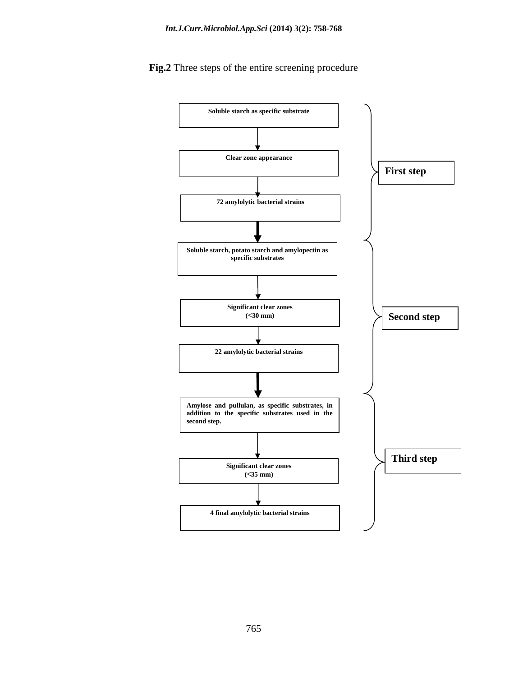**Soluble starch as specific substrate Clear zone appearance 72 amylolytic bacterial strains Soluble starch, potato starch and amylopectin as specific substrates Significant clear zones (<30 mm) 22 amylolytic bacterial strains Amylose and pullulan, as specific substrates, in addition to the specific substrates used in the second step. Significant clear zones (<35 mm) 4 final amylolytic bacterial strains First step Second step Third step**

# **Fig.2** Three steps of the entire screening procedure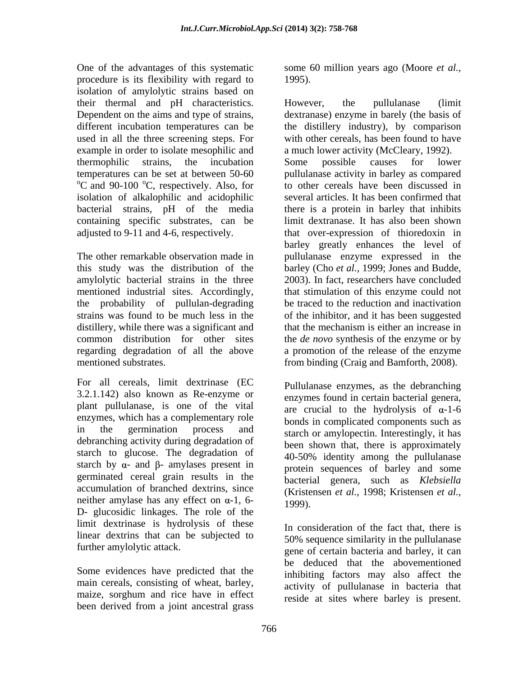One of the advantages of this systematic some 60 million years ago (Moore *et al.,*procedure is its flexibility with regard to isolation of amylolytic strains based on their thermal and pH characteristics. example in order to isolate mesophilic and isolation of alkalophilic and acidophilic

the probability of pullulan-degrading distillery, while there was a significant and that the mechanism is either an increase in

For all cereals, limit dextrinase (EC 3.2.1.142) also known as Re-enzyme or plant pullulanase, is one of the vital enzymes, which has a complementary role debranching activity during degradation of starch to glucose. The degradation of starch by  $\alpha$ - and  $\beta$ - amylases present in germinated cereal grain results in the accumulation of branched dextrins, since neither amylase has any effect on  $\alpha$ -1, 6-<br>1999). D- glucosidic linkages. The role of the limit dextrinase is hydrolysis of these In consideration of the fact that, there is linear dextrins that can be subjected to

Some evidences have predicted that the main cereals, consisting of wheat, barley, maize, sorghum and rice have in effect been derived from a joint ancestral grass

1995).

Dependent on the aims and type of strains, dextranase) enzyme in barely (the basis of different incubation temperatures can be the distillery industry), by comparison used in all the three screening steps. For with other cereals, has been found to have thermophilic strains, the incubation temperatures can be set at between 50-60 pullulanase activity in barley as compared <br>
<sup>o</sup>C and 90-100 <sup>o</sup>C, respectively. Also, for to other cereals have been discussed in bacterial strains, pH of the media there is a protein in barley that inhibits containing specific substrates, can be limit dextranase. It has also been shown adjusted to 9-11 and 4-6, respectively. that over-expression of thioredoxin in The other remarkable observation made in pullulanase enzyme expressed in the this study was the distribution of the barley (Cho *et al.,* 1999; Jonesand Budde, amylolytic bacterial strains in the three 2003). In fact, researchers have concluded mentioned industrial sites. Accordingly, that stimulation of this enzyme could not strains was found to be much less in the of the inhibitor, and it has been suggested common distribution for other sites the *de novo* synthesis of the enzyme or by regarding degradation of all the above a promotion of the release of the enzyme mentioned substrates. from binding (Craig and Bamforth, 2008). However, the pullulanase (limit a much lower activity (McCleary, 1992). Some possible causes for lower pullulanase activity in barley as compared to other cereals have been discussed in several articles. It has been confirmed that barley greatly enhances the level of be traced to the reduction and inactivation that the mechanism is either an increase in

in the germination process and starch or amylopectin. Interestingly, it has Pullulanase enzymes, as the debranching enzymes found in certain bacterial genera, are crucial to the hydrolysis of  $\alpha$ -1-6 bonds in complicated components such as been shown that, there is approximately 40-50% identity among the pullulanase protein sequences of barley and some bacterial genera, such as *Klebsiella* (Kristensen *et al.,* 1998; Kristensen *et al.,*

further amylolytic attack.<br>gene of certain bacteria and barley, it can 1999).<br>In consideration of the fact that, there is 50% sequence similarity in the pullulanase be deduced that the abovementioned inhibiting factors may also affect the activity of pullulanase in bacteria that reside at sites where barley is present.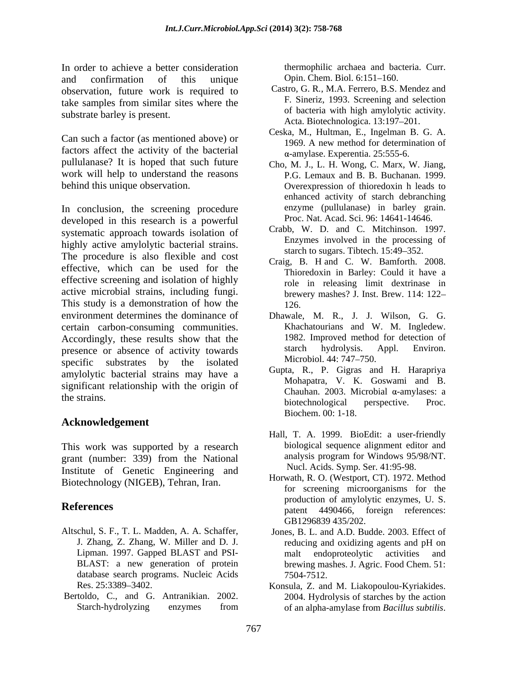In order to achieve a better consideration<br>and confirmation of this unique Opin. Chem. Biol. 6:151–160. and confirmation of this unique Opin. Chem. Biol. 6:151–160. observation, future work is required to take samples from similar sites where the substrate barley is present.

Can such a factor (as mentioned above) or factors affect the activity of the bacterial pullulanase? It is hoped that such future work will help to understand the reasons behind this unique observation. Overexpression of thioredoxin h leads to

In conclusion, the screening procedure developed in this research is a powerful systematic approach towards isolation of highly active amylolytic bacterial strains. The procedure is also flexible and cost effective, which can be used for the effective screening and isolation of highly active microbial strains, including fungi. This study is a demonstration of how the  $126$ . environment determines the dominance of Dhawale, M. R., J. J. Wilson, G. G. certain carbon-consuming communities. Khachatourians and W. M. Ingledew.<br>Accordingly, these results show that the 1982. Improved method for detection of presence or absence of activity towards starch hydrolysis. Appl. Environ.<br>
enocitie substrates by the isolated Microbiol. 44: 747–750. specific substrates by the isolated  $\frac{\text{MICronol. 44: } /4/–/50.}{\Omega + \Omega + \Omega + \Omega}$ amylolytic bacterial strains may have a significant relationship with the origin of

### **Acknowledgement**

This work was supported by a research grant (number: 339) from the National Institute of Genetic Engineering and Biotechnology (NIGEB), Tehran, Iran.

- Altschul, S. F., T. L. Madden, A. A. Schaffer, Jones, B. L. and A.D. Budde. 2003. Effect of database search programs. Nucleic Acids 7504-7512.
- 

thermophilic archaea and bacteria. Curr. Opin. Chem. Biol. 6:151–160.

- Castro*,* G. R*.,* M.A. Ferrero*,* B.S. Mendez and F*.* Sineriz*,* 1993. Screening and selection of bacteria with high amylolytic activity. Acta. Biotechnologica. 13:197-201.
- Ceska, M., Hultman, E., Ingelman B. G. A. 1969. A new method for determination of -amylase. Experentia. 25:555-6.
- Cho, M. J., L. H. Wong, C. Marx, W. Jiang, P.G. Lemaux and B. B. Buchanan. 1999. enhanced activity of starch debranching enzyme (pullulanase) in barley grain. Proc. Nat. Acad. Sci. 96: 14641-14646.
- Crabb, W. D. and C. Mitchinson. 1997. Enzymes involved in the processing of starch to sugars. Tibtech. 15:49–352.
- Craig, B. H and C. W. Bamforth. 2008. Thioredoxin in Barley: Could it have a role in releasing limit dextrinase in brewery mashes? J. Inst. Brew. 114: 122 126.
- Khachatourians and W. M. Ingledew. 1982. Improved method for detection of starch hydrolysis. Appl. Environ. Microbiol. 44: 747–750.
- the strains. Gupta, R., P. Gigras and H. Harapriya Mohapatra, V. K. Goswami and B. Chauhan. 2003. Microbial  $\alpha$ -amylases: a biotechnological perspective. Proc. Biochem. 00: 1-18.
	- Hall, T. A. 1999. BioEdit: a user-friendly biological sequence alignment editor and analysis program for Windows 95/98/NT. Nucl. Acids. Symp. Ser. 41:95-98.
- **References** and the production of any original energy example. So the set of the production of any original energy intervalse of the set of the set of the set of the set of the set of the set of the set of the set of the Horwath, R. O. (Westport, CT). 1972. Method for screening microorganisms for the production of amylolytic enzymes, U. S. GB1296839 435/202.
	- J. Zhang, Z. Zhang, W. Miller and D. J. reducing and oxidizing agents and pH on Lipman. 1997. Gapped BLAST and PSI- and endoproteolytic activities and BLAST: a new generation of protein brewing mashes. J. Agric. Food Chem. 51: malt endoproteolytic activities and 7504-7512.
- Res. 25:3389–3402. Konsula, Z. and M. Liakopoulou-Kyriakides. Bertoldo, C., and G. Antranikian. 2002. 2004. Hydrolysis of starches by the action Starch-hydrolyzing enzymes from of an alpha-amylase from *Bacillus subtilis*.